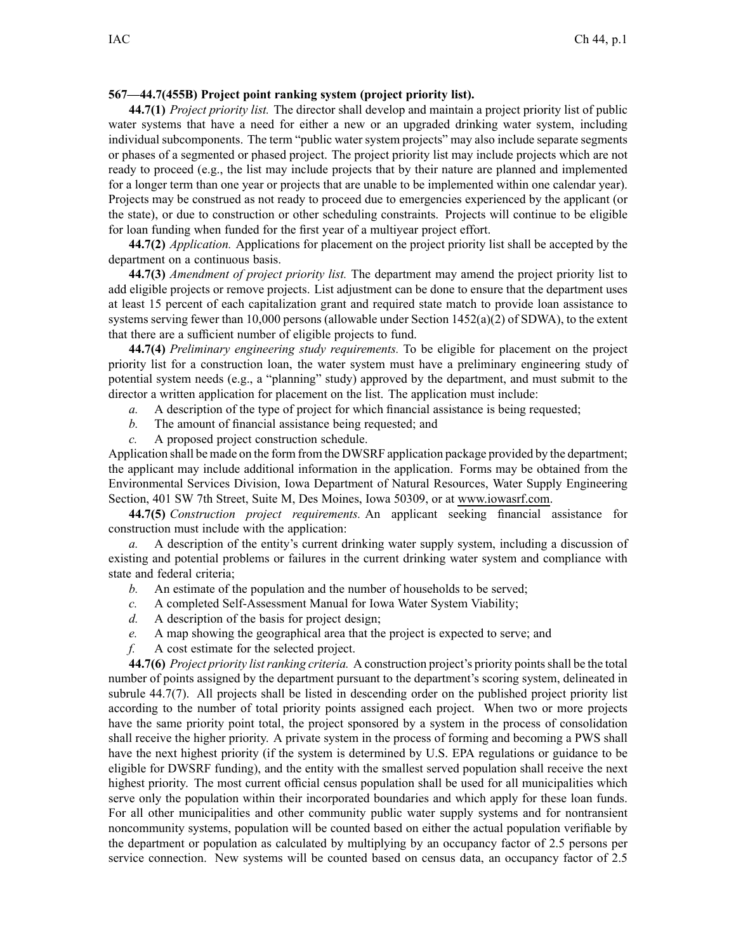## **567—44.7(455B) Project point ranking system (project priority list).**

**44.7(1)** *Project priority list.* The director shall develop and maintain <sup>a</sup> project priority list of public water systems that have <sup>a</sup> need for either <sup>a</sup> new or an upgraded drinking water system, including individual subcomponents. The term "public water system projects" may also include separate segments or phases of <sup>a</sup> segmented or phased project. The project priority list may include projects which are not ready to proceed (e.g., the list may include projects that by their nature are planned and implemented for <sup>a</sup> longer term than one year or projects that are unable to be implemented within one calendar year). Projects may be construed as not ready to proceed due to emergencies experienced by the applicant (or the state), or due to construction or other scheduling constraints. Projects will continue to be eligible for loan funding when funded for the first year of <sup>a</sup> multiyear project effort.

**44.7(2)** *Application.* Applications for placement on the project priority list shall be accepted by the department on <sup>a</sup> continuous basis.

**44.7(3)** *Amendment of project priority list.* The department may amend the project priority list to add eligible projects or remove projects. List adjustment can be done to ensure that the department uses at least 15 percen<sup>t</sup> of each capitalization gran<sup>t</sup> and required state match to provide loan assistance to systems serving fewer than 10,000 persons (allowable under Section 1452(a)(2) of SDWA), to the extent that there are <sup>a</sup> sufficient number of eligible projects to fund.

**44.7(4)** *Preliminary engineering study requirements.* To be eligible for placement on the project priority list for <sup>a</sup> construction loan, the water system must have <sup>a</sup> preliminary engineering study of potential system needs (e.g., <sup>a</sup> "planning" study) approved by the department, and must submit to the director <sup>a</sup> written application for placement on the list. The application must include:

- *a.* A description of the type of project for which financial assistance is being requested;
- *b.* The amount of financial assistance being requested; and
- *c.* A proposed project construction schedule.

Application shall be made on the form from the DWSRF application package provided by the department; the applicant may include additional information in the application. Forms may be obtained from the Environmental Services Division, Iowa Department of Natural Resources, Water Supply Engineering Section, 401 SW 7th Street, Suite M, Des Moines, Iowa 50309, or at www.iowasrf.com.

**44.7(5)** *Construction project requirements.* An applicant seeking financial assistance for construction must include with the application:

*a.* A description of the entity's current drinking water supply system, including <sup>a</sup> discussion of existing and potential problems or failures in the current drinking water system and compliance with state and federal criteria;

- *b.* An estimate of the population and the number of households to be served;
- *c.* A completed Self-Assessment Manual for Iowa Water System Viability;
- *d.* A description of the basis for project design;
- *e.* A map showing the geographical area that the project is expected to serve; and
- *f.* A cost estimate for the selected project.

**44.7(6)** *Project priority listranking criteria.* A construction project's priority pointsshall be the total number of points assigned by the department pursuan<sup>t</sup> to the department's scoring system, delineated in subrule 44.7(7). All projects shall be listed in descending order on the published project priority list according to the number of total priority points assigned each project. When two or more projects have the same priority point total, the project sponsored by <sup>a</sup> system in the process of consolidation shall receive the higher priority. A private system in the process of forming and becoming <sup>a</sup> PWS shall have the next highest priority (if the system is determined by U.S. EPA regulations or guidance to be eligible for DWSRF funding), and the entity with the smallest served population shall receive the next highest priority. The most current official census population shall be used for all municipalities which serve only the population within their incorporated boundaries and which apply for these loan funds. For all other municipalities and other community public water supply systems and for nontransient noncommunity systems, population will be counted based on either the actual population verifiable by the department or population as calculated by multiplying by an occupancy factor of 2.5 persons per service connection. New systems will be counted based on census data, an occupancy factor of 2.5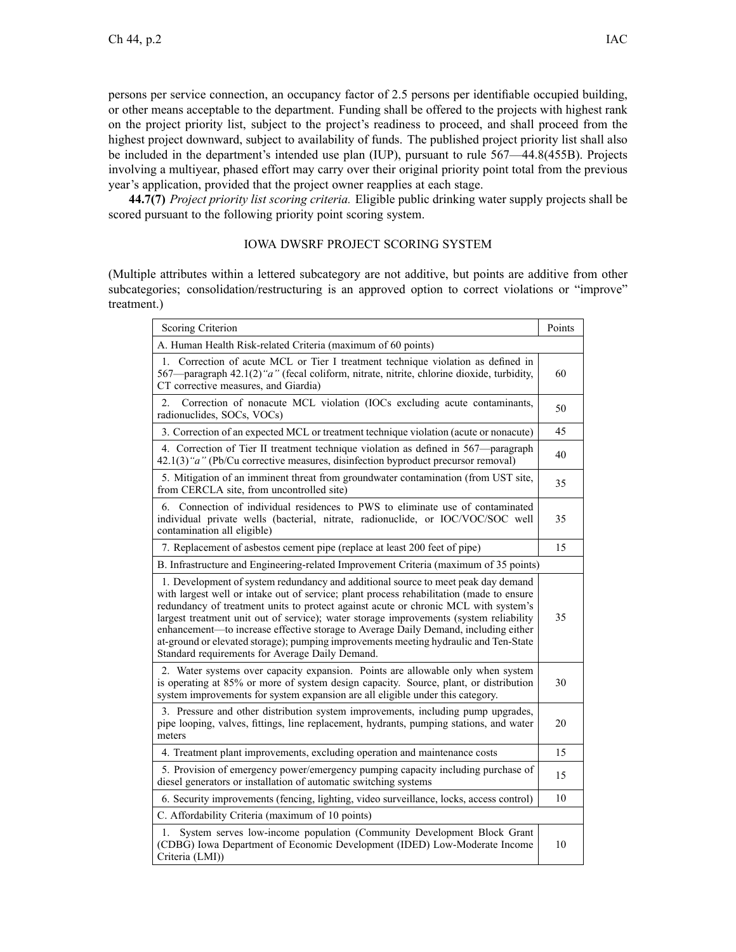persons per service connection, an occupancy factor of 2.5 persons per identifiable occupied building, or other means acceptable to the department. Funding shall be offered to the projects with highest rank on the project priority list, subject to the project's readiness to proceed, and shall proceed from the highest project downward, subject to availability of funds. The published project priority list shall also be included in the department's intended use plan (IUP), pursuan<sup>t</sup> to rule 567—44.8(455B). Projects involving <sup>a</sup> multiyear, phased effort may carry over their original priority point total from the previous year's application, provided that the project owner reapplies at each stage.

**44.7(7)** *Project priority list scoring criteria.* Eligible public drinking water supply projects shall be scored pursuan<sup>t</sup> to the following priority point scoring system.

## IOWA DWSRF PROJECT SCORING SYSTEM

(Multiple attributes within <sup>a</sup> lettered subcategory are not additive, but points are additive from other subcategories; consolidation/restructuring is an approved option to correct violations or "improve" treatment.)

| Scoring Criterion                                                                                                                                                                                                                                                                                                                                                                                                                                                                                                                                                                                | Points |  |
|--------------------------------------------------------------------------------------------------------------------------------------------------------------------------------------------------------------------------------------------------------------------------------------------------------------------------------------------------------------------------------------------------------------------------------------------------------------------------------------------------------------------------------------------------------------------------------------------------|--------|--|
| A. Human Health Risk-related Criteria (maximum of 60 points)                                                                                                                                                                                                                                                                                                                                                                                                                                                                                                                                     |        |  |
| Correction of acute MCL or Tier I treatment technique violation as defined in<br>1.<br>567—paragraph 42.1(2) "a" (fecal coliform, nitrate, nitrite, chlorine dioxide, turbidity,<br>CT corrective measures, and Giardia)                                                                                                                                                                                                                                                                                                                                                                         | 60     |  |
| Correction of nonacute MCL violation (IOCs excluding acute contaminants,<br>$\overline{2}$ .<br>radionuclides, SOCs, VOCs)                                                                                                                                                                                                                                                                                                                                                                                                                                                                       | 50     |  |
| 3. Correction of an expected MCL or treatment technique violation (acute or nonacute)                                                                                                                                                                                                                                                                                                                                                                                                                                                                                                            | 45     |  |
| 4. Correction of Tier II treatment technique violation as defined in 567—paragraph<br>42.1(3) "a" (Pb/Cu corrective measures, disinfection byproduct precursor removal)                                                                                                                                                                                                                                                                                                                                                                                                                          | 40     |  |
| 5. Mitigation of an imminent threat from groundwater contamination (from UST site,<br>from CERCLA site, from uncontrolled site)                                                                                                                                                                                                                                                                                                                                                                                                                                                                  | 35     |  |
| Connection of individual residences to PWS to eliminate use of contaminated<br>6.<br>individual private wells (bacterial, nitrate, radionuclide, or IOC/VOC/SOC well<br>contamination all eligible)                                                                                                                                                                                                                                                                                                                                                                                              | 35     |  |
| 7. Replacement of asbestos cement pipe (replace at least 200 feet of pipe)                                                                                                                                                                                                                                                                                                                                                                                                                                                                                                                       | 15     |  |
| B. Infrastructure and Engineering-related Improvement Criteria (maximum of 35 points)                                                                                                                                                                                                                                                                                                                                                                                                                                                                                                            |        |  |
| 1. Development of system redundancy and additional source to meet peak day demand<br>with largest well or intake out of service; plant process rehabilitation (made to ensure<br>redundancy of treatment units to protect against acute or chronic MCL with system's<br>largest treatment unit out of service); water storage improvements (system reliability<br>enhancement-to increase effective storage to Average Daily Demand, including either<br>at-ground or elevated storage); pumping improvements meeting hydraulic and Ten-State<br>Standard requirements for Average Daily Demand. | 35     |  |
| 2. Water systems over capacity expansion. Points are allowable only when system<br>is operating at 85% or more of system design capacity. Source, plant, or distribution<br>system improvements for system expansion are all eligible under this category.                                                                                                                                                                                                                                                                                                                                       | 30     |  |
| 3. Pressure and other distribution system improvements, including pump upgrades,<br>pipe looping, valves, fittings, line replacement, hydrants, pumping stations, and water<br>meters                                                                                                                                                                                                                                                                                                                                                                                                            | 20     |  |
| 4. Treatment plant improvements, excluding operation and maintenance costs                                                                                                                                                                                                                                                                                                                                                                                                                                                                                                                       | 15     |  |
| 5. Provision of emergency power/emergency pumping capacity including purchase of<br>diesel generators or installation of automatic switching systems                                                                                                                                                                                                                                                                                                                                                                                                                                             | 15     |  |
| 6. Security improvements (fencing, lighting, video surveillance, locks, access control)                                                                                                                                                                                                                                                                                                                                                                                                                                                                                                          | 10     |  |
| C. Affordability Criteria (maximum of 10 points)                                                                                                                                                                                                                                                                                                                                                                                                                                                                                                                                                 |        |  |
| System serves low-income population (Community Development Block Grant<br>1.<br>(CDBG) Iowa Department of Economic Development (IDED) Low-Moderate Income<br>Criteria (LMI))                                                                                                                                                                                                                                                                                                                                                                                                                     | 10     |  |